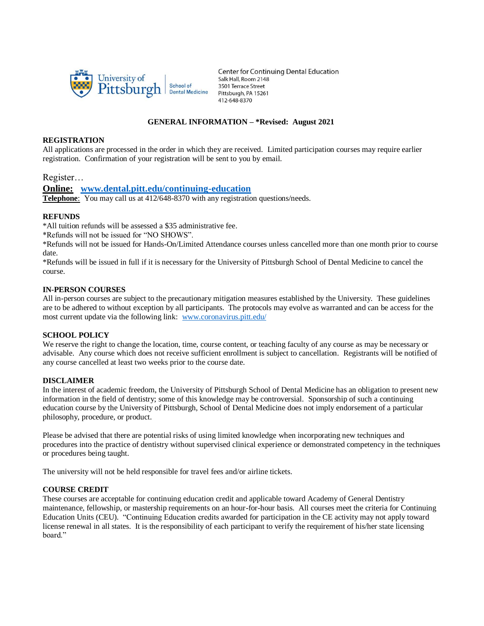

**Center for Continuing Dental Education** Salk Hall, Room 2148 3501 Terrace Street Pittsburgh, PA 15261 412-648-8370

# **GENERAL INFORMATION – \*Revised: August 2021**

#### **REGISTRATION**

All applications are processed in the order in which they are received. Limited participation courses may require earlier registration. Confirmation of your registration will be sent to you by email.

Register…

**Online: [www.dental.pitt.edu/continuing-education](http://www.dental.pitt.edu/continuing-education)**

**Telephone**: You may call us at 412/648-8370 with any registration questions/needs.

## **REFUNDS**

\*All tuition refunds will be assessed a \$35 administrative fee.

\*Refunds will not be issued for "NO SHOWS".

\*Refunds will not be issued for Hands-On/Limited Attendance courses unless cancelled more than one month prior to course date.

\*Refunds will be issued in full if it is necessary for the University of Pittsburgh School of Dental Medicine to cancel the course.

### **IN-PERSON COURSES**

All in-person courses are subject to the precautionary mitigation measures established by the University. These guidelines are to be adhered to without exception by all participants. The protocols may evolve as warranted and can be access for the most current update via the following link: [www.coronavirus.pitt.edu/](http://www.coronavirus.pitt.edu/)

## **SCHOOL POLICY**

We reserve the right to change the location, time, course content, or teaching faculty of any course as may be necessary or advisable. Any course which does not receive sufficient enrollment is subject to cancellation. Registrants will be notified of any course cancelled at least two weeks prior to the course date.

## **DISCLAIMER**

In the interest of academic freedom, the University of Pittsburgh School of Dental Medicine has an obligation to present new information in the field of dentistry; some of this knowledge may be controversial. Sponsorship of such a continuing education course by the University of Pittsburgh, School of Dental Medicine does not imply endorsement of a particular philosophy, procedure, or product.

Please be advised that there are potential risks of using limited knowledge when incorporating new techniques and procedures into the practice of dentistry without supervised clinical experience or demonstrated competency in the techniques or procedures being taught.

The university will not be held responsible for travel fees and/or airline tickets.

## **COURSE CREDIT**

These courses are acceptable for continuing education credit and applicable toward Academy of General Dentistry maintenance, fellowship, or mastership requirements on an hour-for-hour basis. All courses meet the criteria for Continuing Education Units (CEU). "Continuing Education credits awarded for participation in the CE activity may not apply toward license renewal in all states. It is the responsibility of each participant to verify the requirement of his/her state licensing board."